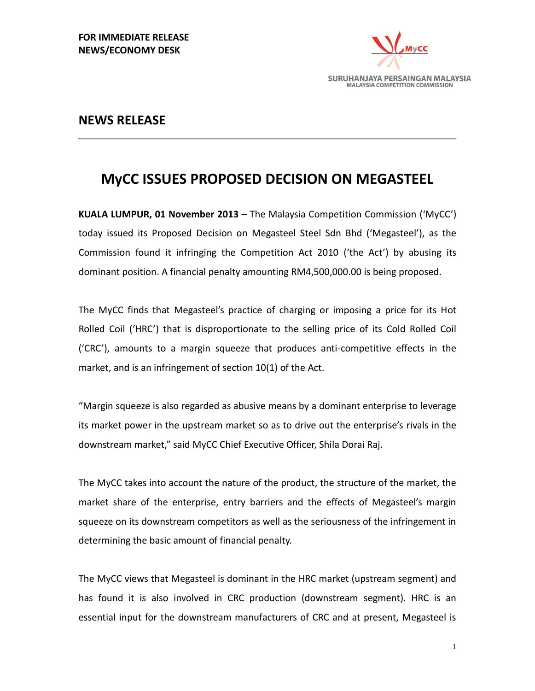

### **NEWS RELEASE**

# **MyCC ISSUES PROPOSED DECISION ON MEGASTEEL**

**KUALA LUMPUR, 01 November 2013** – The Malaysia Competition Commission ('MyCC') today issued its Proposed Decision on Megasteel Steel Sdn Bhd ('Megasteel'), as the Commission found it infringing the Competition Act 2010 ('the Act') by abusing its dominant position. A financial penalty amounting RM4,500,000.00 is being proposed.

The MyCC finds that Megasteel's practice of charging or imposing a price for its Hot Rolled Coil ('HRC') that is disproportionate to the selling price of its Cold Rolled Coil ('CRC'), amounts to a margin squeeze that produces anti-competitive effects in the market, and is an infringement of section 10(1) of the Act.

"Margin squeeze is also regarded as abusive means by a dominant enterprise to leverage its market power in the upstream market so as to drive out the enterprise's rivals in the downstream market," said MyCC Chief Executive Officer, Shila Dorai Raj.

The MyCC takes into account the nature of the product, the structure of the market, the market share of the enterprise, entry barriers and the effects of Megasteel's margin squeeze on its downstream competitors as well as the seriousness of the infringement in determining the basic amount of financial penalty.

The MyCC views that Megasteel is dominant in the HRC market (upstream segment) and has found it is also involved in CRC production (downstream segment). HRC is an essential input for the downstream manufacturers of CRC and at present, Megasteel is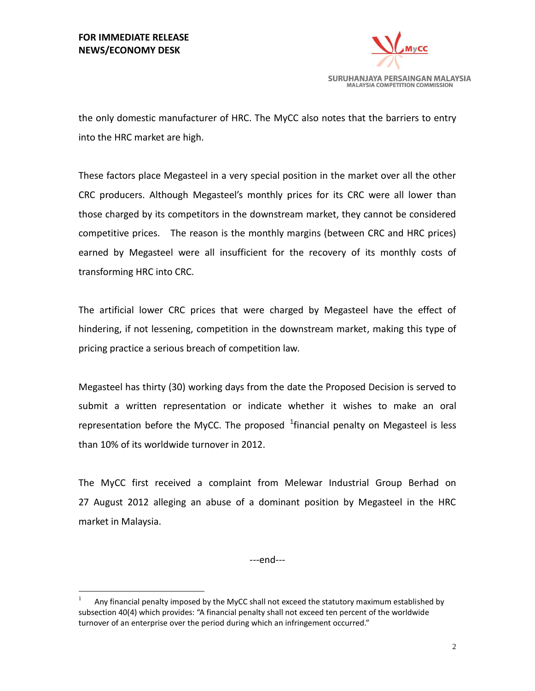$\overline{a}$ 



the only domestic manufacturer of HRC. The MyCC also notes that the barriers to entry into the HRC market are high.

These factors place Megasteel in a very special position in the market over all the other CRC producers. Although Megasteel's monthly prices for its CRC were all lower than those charged by its competitors in the downstream market, they cannot be considered competitive prices. The reason is the monthly margins (between CRC and HRC prices) earned by Megasteel were all insufficient for the recovery of its monthly costs of transforming HRC into CRC.

The artificial lower CRC prices that were charged by Megasteel have the effect of hindering, if not lessening, competition in the downstream market, making this type of pricing practice a serious breach of competition law.

Megasteel has thirty (30) working days from the date the Proposed Decision is served to submit a written representation or indicate whether it wishes to make an oral representation before the MyCC. The proposed  $^1$ financial penalty on Megasteel is less than 10% of its worldwide turnover in 2012.

The MyCC first received a complaint from Melewar Industrial Group Berhad on 27 August 2012 alleging an abuse of a dominant position by Megasteel in the HRC market in Malaysia.

---end---

<sup>1</sup> Any financial penalty imposed by the MyCC shall not exceed the statutory maximum established by subsection 40(4) which provides: "A financial penalty shall not exceed ten percent of the worldwide turnover of an enterprise over the period during which an infringement occurred."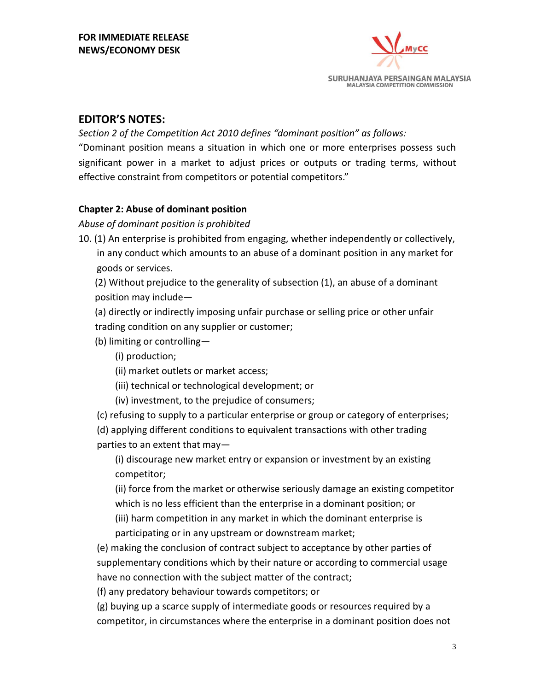

## **EDITOR'S NOTES:**

*Section 2 of the Competition Act 2010 defines "dominant position" as follows:*

"Dominant position means a situation in which one or more enterprises possess such significant power in a market to adjust prices or outputs or trading terms, without effective constraint from competitors or potential competitors."

#### **Chapter 2: Abuse of dominant position**

*Abuse of dominant position is prohibited*

10. (1) An enterprise is prohibited from engaging, whether independently or collectively, in any conduct which amounts to an abuse of a dominant position in any market for goods or services.

(2) Without prejudice to the generality of subsection (1), an abuse of a dominant position may include—

(a) directly or indirectly imposing unfair purchase or selling price or other unfair trading condition on any supplier or customer;

(b) limiting or controlling—

(i) production;

(ii) market outlets or market access;

(iii) technical or technological development; or

(iv) investment, to the prejudice of consumers;

(c) refusing to supply to a particular enterprise or group or category of enterprises;

(d) applying different conditions to equivalent transactions with other trading parties to an extent that may—

(i) discourage new market entry or expansion or investment by an existing competitor;

(ii) force from the market or otherwise seriously damage an existing competitor which is no less efficient than the enterprise in a dominant position; or (iii) harm competition in any market in which the dominant enterprise is

participating or in any upstream or downstream market;

(e) making the conclusion of contract subject to acceptance by other parties of supplementary conditions which by their nature or according to commercial usage have no connection with the subject matter of the contract;

(f) any predatory behaviour towards competitors; or

(g) buying up a scarce supply of intermediate goods or resources required by a competitor, in circumstances where the enterprise in a dominant position does not